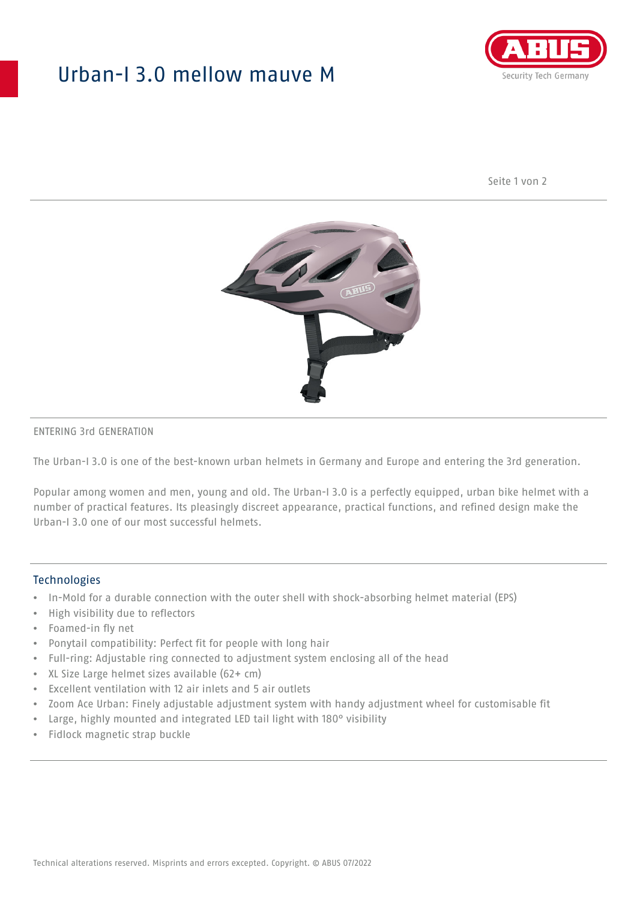## Urban-I 3.0 mellow mauve M



Seite 1 von 2



#### ENTERING 3rd GENERATION

The Urban-I 3.0 is one of the best-known urban helmets in Germany and Europe and entering the 3rd generation.

Popular among women and men, young and old. The Urban-I 3.0 is a perfectly equipped, urban bike helmet with a number of practical features. Its pleasingly discreet appearance, practical functions, and refined design make the Urban-I 3.0 one of our most successful helmets.

#### **Technologies**

- In-Mold for a durable connection with the outer shell with shock-absorbing helmet material (EPS)
- High visibility due to reflectors
- Foamed-in fly net
- Ponytail compatibility: Perfect fit for people with long hair
- Full-ring: Adjustable ring connected to adjustment system enclosing all of the head
- XL Size Large helmet sizes available (62+ cm)
- Excellent ventilation with 12 air inlets and 5 air outlets
- Zoom Ace Urban: Finely adjustable adjustment system with handy adjustment wheel for customisable fit
- Large, highly mounted and integrated LED tail light with 180° visibility
- Fidlock magnetic strap buckle